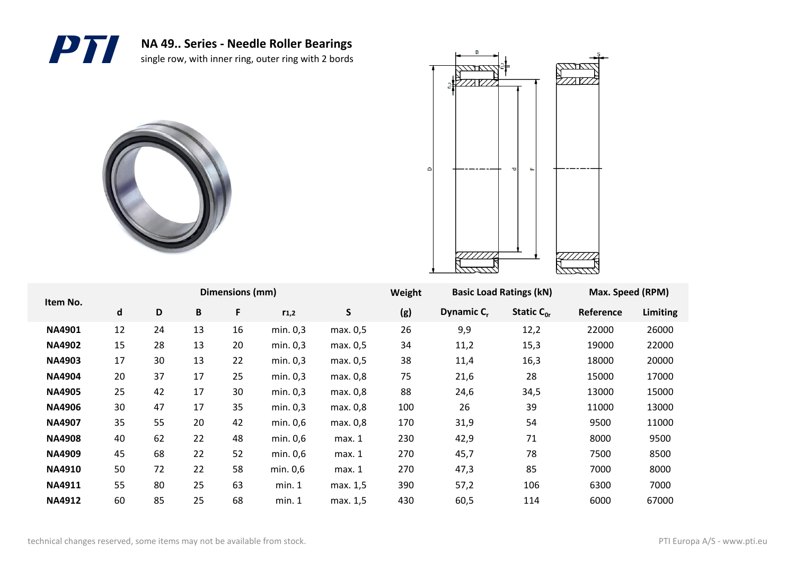





| Item No.      |                             |    |    | Dimensions (mm) |           |          | Weight | <b>Basic Load Ratings (kN)</b> |                 | Max. Speed (RPM) |          |
|---------------|-----------------------------|----|----|-----------------|-----------|----------|--------|--------------------------------|-----------------|------------------|----------|
|               | $\operatorname{\mathsf{d}}$ | D  | B  | F               | $r_{1,2}$ | S        | (g)    | Dynamic C <sub>r</sub>         | Static $C_{0r}$ | Reference        | Limiting |
| <b>NA4901</b> | 12                          | 24 | 13 | 16              | min. 0,3  | max. 0,5 | 26     | 9,9                            | 12,2            | 22000            | 26000    |
| <b>NA4902</b> | 15                          | 28 | 13 | 20              | min. 0,3  | max. 0,5 | 34     | 11,2                           | 15,3            | 19000            | 22000    |
| <b>NA4903</b> | 17                          | 30 | 13 | 22              | min. 0,3  | max. 0,5 | 38     | 11,4                           | 16,3            | 18000            | 20000    |
| <b>NA4904</b> | 20                          | 37 | 17 | 25              | min. 0.3  | max. 0,8 | 75     | 21,6                           | 28              | 15000            | 17000    |
| <b>NA4905</b> | 25                          | 42 | 17 | 30              | min. 0.3  | max. 0,8 | 88     | 24,6                           | 34,5            | 13000            | 15000    |
| <b>NA4906</b> | 30                          | 47 | 17 | 35              | min. 0.3  | max. 0,8 | 100    | 26                             | 39              | 11000            | 13000    |
| <b>NA4907</b> | 35                          | 55 | 20 | 42              | min. 0,6  | max. 0,8 | 170    | 31,9                           | 54              | 9500             | 11000    |
| <b>NA4908</b> | 40                          | 62 | 22 | 48              | min. 0,6  | max. 1   | 230    | 42,9                           | 71              | 8000             | 9500     |
| <b>NA4909</b> | 45                          | 68 | 22 | 52              | min. 0,6  | max. 1   | 270    | 45,7                           | 78              | 7500             | 8500     |
| <b>NA4910</b> | 50                          | 72 | 22 | 58              | min. 0,6  | max. 1   | 270    | 47,3                           | 85              | 7000             | 8000     |
| <b>NA4911</b> | 55                          | 80 | 25 | 63              | min. 1    | max. 1,5 | 390    | 57,2                           | 106             | 6300             | 7000     |
| <b>NA4912</b> | 60                          | 85 | 25 | 68              | min. 1    | max. 1,5 | 430    | 60,5                           | 114             | 6000             | 67000    |